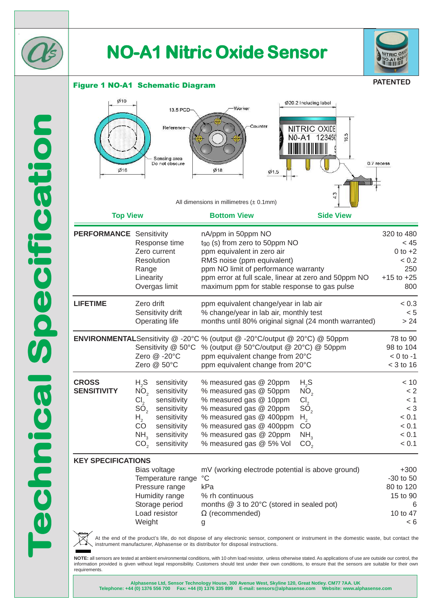

# **NO-A1 Nitric Oxide Sensor**



### Figure 1 NO-A1 Schematic Diagram

**PATENTED**

| Ø10<br>Ø16<br><b>Top View</b>      | 13.5 PCD-<br>Reference<br>Sensing area<br>Do not obscure                                                                                                                                                                                         | Worker<br>Counter<br>Ø18<br>Ø1.5<br>All dimensions in millimetres $(\pm 0.1$ mm)<br><b>Bottom View</b>                                                                                                                                                                                                             | Ø20.2 Including label<br><b>NITRIC OXIDE</b><br>16.5<br>$NO-A1$<br>123456<br><b>Side View</b>                         | 0.7 recess                                                                 |
|------------------------------------|--------------------------------------------------------------------------------------------------------------------------------------------------------------------------------------------------------------------------------------------------|--------------------------------------------------------------------------------------------------------------------------------------------------------------------------------------------------------------------------------------------------------------------------------------------------------------------|-----------------------------------------------------------------------------------------------------------------------|----------------------------------------------------------------------------|
|                                    |                                                                                                                                                                                                                                                  |                                                                                                                                                                                                                                                                                                                    |                                                                                                                       |                                                                            |
| <b>PERFORMANCE</b> Sensitivity     | Response time<br>Zero current<br>Resolution<br>Range<br>Linearity<br>Overgas limit                                                                                                                                                               | nA/ppm in 50ppm NO<br>$t_{90}$ (s) from zero to 50ppm NO<br>ppm equivalent in zero air<br>RMS noise (ppm equivalent)<br>ppm NO limit of performance warranty<br>ppm error at full scale, linear at zero and 50ppm NO<br>maximum ppm for stable response to gas pulse                                               |                                                                                                                       | 320 to 480<br>< 45<br>$0$ to $+2$<br>< 0.2<br>250<br>$+15$ to $+25$<br>800 |
| <b>LIFETIME</b>                    | Zero drift<br>Sensitivity drift<br>Operating life                                                                                                                                                                                                | ppm equivalent change/year in lab air<br>% change/year in lab air, monthly test<br>months until 80% original signal (24 month warranted)                                                                                                                                                                           |                                                                                                                       | < 0.3<br>< 5<br>> 24                                                       |
|                                    | Sensitivity @ 50°C<br>Zero @ -20°C<br>Zero @ 50°C                                                                                                                                                                                                | <b>ENVIRONMENTAL</b> Sensitivity @ -20°C % (output @ -20°C/output @ 20°C) @ 50ppm<br>% (output @ 50°C/output @ 20°C) @ 50ppm<br>ppm equivalent change from 20°C<br>ppm equivalent change from 20°C                                                                                                                 |                                                                                                                       | 78 to 90<br>98 to 104<br>$< 0$ to $-1$<br>$<$ 3 to 16                      |
| <b>CROSS</b><br><b>SENSITIVITY</b> | $H_{2}S$<br>sensitivity<br>NO <sub>2</sub><br>sensitivity<br>Cl <sub>2</sub><br>sensitivity<br>SO <sub>2</sub><br>sensitivity<br>sensitivity<br>$H_{2}$<br>CO<br>sensitivity<br>NH <sub>3</sub><br>sensitivity<br>CO <sub>2</sub><br>sensitivity | % measured gas @ 20ppm<br>% measured gas @ 50ppm<br>% measured gas @ 10ppm<br>% measured gas @ 20ppm<br>% measured gas @ 400ppm<br>% measured gas @ 400ppm<br>% measured gas @ 20ppm<br>% measured gas @ 5% Vol                                                                                                    | $H_{2}S$<br>NO <sub>2</sub><br>$\text{\rm Cl}_2$<br>SO <sub>2</sub><br>H <sub>2</sub><br>CO<br>NH <sub>3</sub><br>CO, | < 10<br>< 2<br>< 1<br>$<$ 3<br>< 0.1<br>< 0.1<br>< 0.1<br>< 0.1            |
| <b>KEY SPECIFICATIONS</b>          | Bias voltage<br>Temperature range<br>Pressure range<br>Humidity range<br>Storage period<br>Load resistor<br>Weight                                                                                                                               | mV (working electrode potential is above ground)<br>$^{\circ}C$<br>kPa<br>% rh continuous<br>months @ 3 to 20°C (stored in sealed pot)<br>$\Omega$ (recommended)<br>g<br>At the end of the product's life, do not dispose of any electronic sensor, component or instrument in the domestic waste, but contact the |                                                                                                                       | $+300$<br>$-30$ to $50$<br>80 to 120<br>15 to 90<br>6<br>10 to 47<br>< 6   |
|                                    |                                                                                                                                                                                                                                                  |                                                                                                                                                                                                                                                                                                                    |                                                                                                                       |                                                                            |

At the end of the product's life, do not dispose of any electronic sensor, component or instrument in the domestic waste, but contact the instrument manufacturer, Alphasense or its distributor for disposal instructions. instrument manufacturer, Alphasense or its distributor for disposal instructions.

**NOTE:** all sensors are tested at ambient environmental conditions, with 10 ohm load resistor, unless otherwise stated. As applications of use are outside our control, the information provided is given without legal responsibility. Customers should test under their own conditions, to ensure that the sensors are suitable for their own requirements.